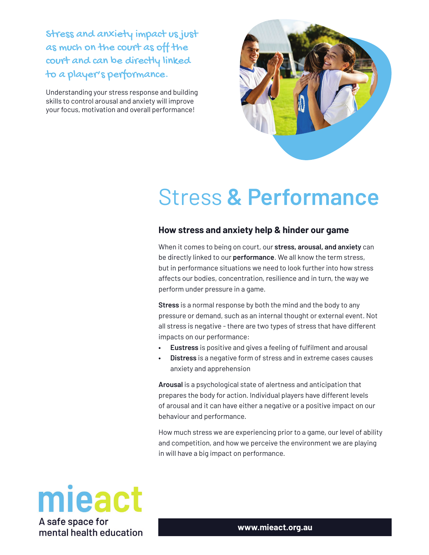Stress and anxiety impact us just as much on the court as off the court and can be directly linked to a player's performance.

Understanding your stress response and building skills to control arousal and anxiety will improve your focus, motivation and overall performance!



## Stress **& Performance**

## **How stress and anxiety help & hinder our game**

When it comes to being on court, our **stress, arousal, and anxiety** can be directly linked to our **performance**. We all know the term stress, but in performance situations we need to look further into how stress affects our bodies, concentration, resilience and in turn, the way we perform under pressure in a game.

**Stress** is a normal response by both the mind and the body to any pressure or demand, such as an internal thought or external event. Not all stress is negative - there are two types of stress that have different impacts on our performance:

- **Eustress** is positive and gives a feeling of fulťlment and arousal
- **Distress** is a negative form of stress and in extreme cases causes anxiety and apprehension

**Arousal** is a psychological state of alertness and anticipation that prepares the body for action. Individual players have different levels of arousal and it can have either a negative or a positive impact on our behaviour and performance.

How much stress we are experiencing prior to a game, our level of ability and competition, and how we perceive the environment we are playing in will have a big impact on performance.